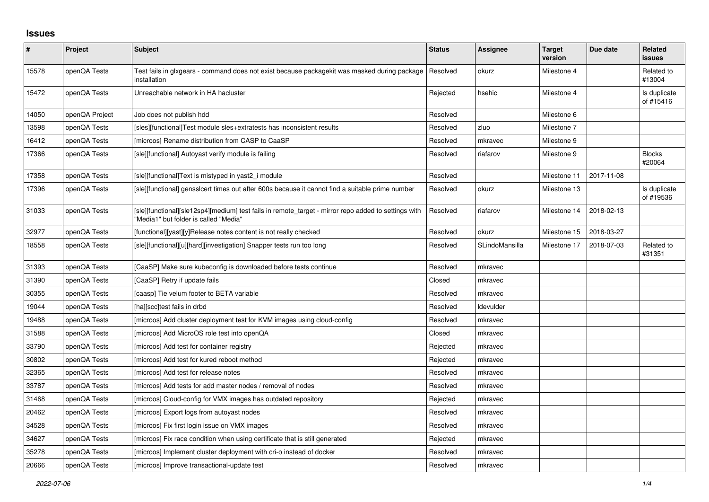## **Issues**

| $\vert$ # | Project        | <b>Subject</b>                                                                                                                                | <b>Status</b> | <b>Assignee</b> | <b>Target</b><br>version | Due date   | <b>Related</b><br><b>issues</b> |
|-----------|----------------|-----------------------------------------------------------------------------------------------------------------------------------------------|---------------|-----------------|--------------------------|------------|---------------------------------|
| 15578     | openQA Tests   | Test fails in glxgears - command does not exist because packagekit was masked during package<br>installation                                  | Resolved      | okurz           | Milestone 4              |            | Related to<br>#13004            |
| 15472     | openQA Tests   | Unreachable network in HA hacluster                                                                                                           | Rejected      | hsehic          | Milestone 4              |            | Is duplicate<br>of #15416       |
| 14050     | openQA Project | Job does not publish hdd                                                                                                                      | Resolved      |                 | Milestone 6              |            |                                 |
| 13598     | openQA Tests   | [sles][functional]Test module sles+extratests has inconsistent results                                                                        | Resolved      | zluo            | Milestone 7              |            |                                 |
| 16412     | openQA Tests   | [microos] Rename distribution from CASP to CaaSP                                                                                              | Resolved      | mkravec         | Milestone 9              |            |                                 |
| 17366     | openQA Tests   | [sle][functional] Autoyast verify module is failing                                                                                           | Resolved      | riafarov        | Milestone 9              |            | <b>Blocks</b><br>#20064         |
| 17358     | openQA Tests   | [sle][functional]Text is mistyped in yast2 i module                                                                                           | Resolved      |                 | Milestone 11             | 2017-11-08 |                                 |
| 17396     | openQA Tests   | [sle][functional] gensslcert times out after 600s because it cannot find a suitable prime number                                              | Resolved      | okurz           | Milestone 13             |            | Is duplicate<br>of #19536       |
| 31033     | openQA Tests   | [sle][functional][sle12sp4][medium] test fails in remote_target - mirror repo added to settings with<br>"Media1" but folder is called "Media" | Resolved      | riafarov        | Milestone 14             | 2018-02-13 |                                 |
| 32977     | openQA Tests   | [functional][yast][y]Release notes content is not really checked                                                                              | Resolved      | okurz           | Milestone 15             | 2018-03-27 |                                 |
| 18558     | openQA Tests   | [sle][functional][u][hard][investigation] Snapper tests run too long                                                                          | Resolved      | SLindoMansilla  | Milestone 17             | 2018-07-03 | Related to<br>#31351            |
| 31393     | openQA Tests   | [CaaSP] Make sure kubeconfig is downloaded before tests continue                                                                              | Resolved      | mkravec         |                          |            |                                 |
| 31390     | openQA Tests   | [CaaSP] Retry if update fails                                                                                                                 | Closed        | mkravec         |                          |            |                                 |
| 30355     | openQA Tests   | [caasp] Tie velum footer to BETA variable                                                                                                     | Resolved      | mkravec         |                          |            |                                 |
| 19044     | openQA Tests   | [ha][scc]test fails in drbd                                                                                                                   | Resolved      | Idevulder       |                          |            |                                 |
| 19488     | openQA Tests   | [microos] Add cluster deployment test for KVM images using cloud-config                                                                       | Resolved      | mkravec         |                          |            |                                 |
| 31588     | openQA Tests   | [microos] Add MicroOS role test into openQA                                                                                                   | Closed        | mkravec         |                          |            |                                 |
| 33790     | openQA Tests   | [microos] Add test for container registry                                                                                                     | Rejected      | mkravec         |                          |            |                                 |
| 30802     | openQA Tests   | [microos] Add test for kured reboot method                                                                                                    | Rejected      | mkravec         |                          |            |                                 |
| 32365     | openQA Tests   | [microos] Add test for release notes                                                                                                          | Resolved      | mkravec         |                          |            |                                 |
| 33787     | openQA Tests   | [microos] Add tests for add master nodes / removal of nodes                                                                                   | Resolved      | mkravec         |                          |            |                                 |
| 31468     | openQA Tests   | [microos] Cloud-config for VMX images has outdated repository                                                                                 | Rejected      | mkravec         |                          |            |                                 |
| 20462     | openQA Tests   | [microos] Export logs from autoyast nodes                                                                                                     | Resolved      | mkravec         |                          |            |                                 |
| 34528     | openQA Tests   | [microos] Fix first login issue on VMX images                                                                                                 | Resolved      | mkravec         |                          |            |                                 |
| 34627     | openQA Tests   | [microos] Fix race condition when using certificate that is still generated                                                                   | Rejected      | mkravec         |                          |            |                                 |
| 35278     | openQA Tests   | [microos] Implement cluster deployment with cri-o instead of docker                                                                           | Resolved      | mkravec         |                          |            |                                 |
| 20666     | openQA Tests   | [microos] Improve transactional-update test                                                                                                   | Resolved      | mkravec         |                          |            |                                 |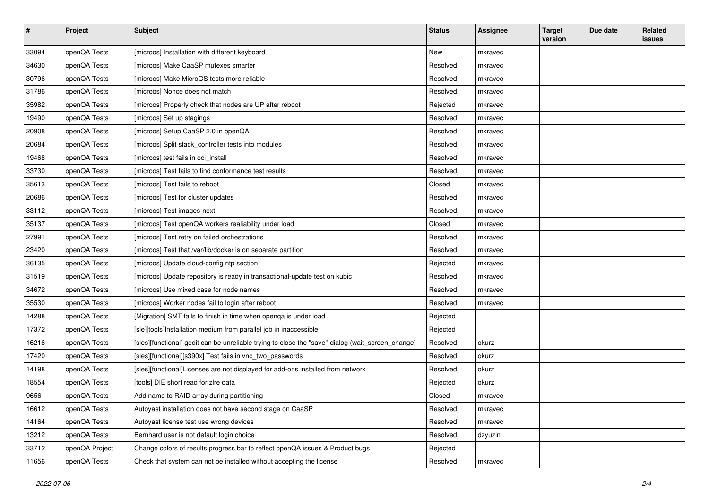| $\sharp$ | Project        | <b>Subject</b>                                                                                    | <b>Status</b> | <b>Assignee</b> | <b>Target</b><br>version | Due date | Related<br>issues |
|----------|----------------|---------------------------------------------------------------------------------------------------|---------------|-----------------|--------------------------|----------|-------------------|
| 33094    | openQA Tests   | [microos] Installation with different keyboard                                                    | New           | mkravec         |                          |          |                   |
| 34630    | openQA Tests   | [microos] Make CaaSP mutexes smarter                                                              | Resolved      | mkravec         |                          |          |                   |
| 30796    | openQA Tests   | [microos] Make MicroOS tests more reliable                                                        | Resolved      | mkravec         |                          |          |                   |
| 31786    | openQA Tests   | [microos] Nonce does not match                                                                    | Resolved      | mkravec         |                          |          |                   |
| 35982    | openQA Tests   | [microos] Properly check that nodes are UP after reboot                                           | Rejected      | mkravec         |                          |          |                   |
| 19490    | openQA Tests   | [microos] Set up stagings                                                                         | Resolved      | mkravec         |                          |          |                   |
| 20908    | openQA Tests   | [microos] Setup CaaSP 2.0 in openQA                                                               | Resolved      | mkravec         |                          |          |                   |
| 20684    | openQA Tests   | [microos] Split stack_controller tests into modules                                               | Resolved      | mkravec         |                          |          |                   |
| 19468    | openQA Tests   | [microos] test fails in oci_install                                                               | Resolved      | mkravec         |                          |          |                   |
| 33730    | openQA Tests   | [microos] Test fails to find conformance test results                                             | Resolved      | mkravec         |                          |          |                   |
| 35613    | openQA Tests   | [microos] Test fails to reboot                                                                    | Closed        | mkravec         |                          |          |                   |
| 20686    | openQA Tests   | [microos] Test for cluster updates                                                                | Resolved      | mkravec         |                          |          |                   |
| 33112    | openQA Tests   | [microos] Test images-next                                                                        | Resolved      | mkravec         |                          |          |                   |
| 35137    | openQA Tests   | [microos] Test openQA workers realiability under load                                             | Closed        | mkravec         |                          |          |                   |
| 27991    | openQA Tests   | [microos] Test retry on failed orchestrations                                                     | Resolved      | mkravec         |                          |          |                   |
| 23420    | openQA Tests   | [microos] Test that /var/lib/docker is on separate partition                                      | Resolved      | mkravec         |                          |          |                   |
| 36135    | openQA Tests   | [microos] Update cloud-config ntp section                                                         | Rejected      | mkravec         |                          |          |                   |
| 31519    | openQA Tests   | [microos] Update repository is ready in transactional-update test on kubic                        | Resolved      | mkravec         |                          |          |                   |
| 34672    | openQA Tests   | [microos] Use mixed case for node names                                                           | Resolved      | mkravec         |                          |          |                   |
| 35530    | openQA Tests   | [microos] Worker nodes fail to login after reboot                                                 | Resolved      | mkravec         |                          |          |                   |
| 14288    | openQA Tests   | [Migration] SMT fails to finish in time when openqa is under load                                 | Rejected      |                 |                          |          |                   |
| 17372    | openQA Tests   | [sle][tools]Installation medium from parallel job in inaccessible                                 | Rejected      |                 |                          |          |                   |
| 16216    | openQA Tests   | [sles][functional] gedit can be unreliable trying to close the "save"-dialog (wait_screen_change) | Resolved      | okurz           |                          |          |                   |
| 17420    | openQA Tests   | [sles][functional][s390x] Test fails in vnc_two_passwords                                         | Resolved      | okurz           |                          |          |                   |
| 14198    | openQA Tests   | [sles][functional]Licenses are not displayed for add-ons installed from network                   | Resolved      | okurz           |                          |          |                   |
| 18554    | openQA Tests   | [tools] DIE short read for zlre data                                                              | Rejected      | okurz           |                          |          |                   |
| 9656     | openQA Tests   | Add name to RAID array during partitioning                                                        | Closed        | mkravec         |                          |          |                   |
| 16612    | openQA Tests   | Autoyast installation does not have second stage on CaaSP                                         | Resolved      | mkravec         |                          |          |                   |
| 14164    | openQA Tests   | Autoyast license test use wrong devices                                                           | Resolved      | mkravec         |                          |          |                   |
| 13212    | openQA Tests   | Bernhard user is not default login choice                                                         | Resolved      | dzyuzin         |                          |          |                   |
| 33712    | openQA Project | Change colors of results progress bar to reflect openQA issues & Product bugs                     | Rejected      |                 |                          |          |                   |
| 11656    | openQA Tests   | Check that system can not be installed without accepting the license                              | Resolved      | mkravec         |                          |          |                   |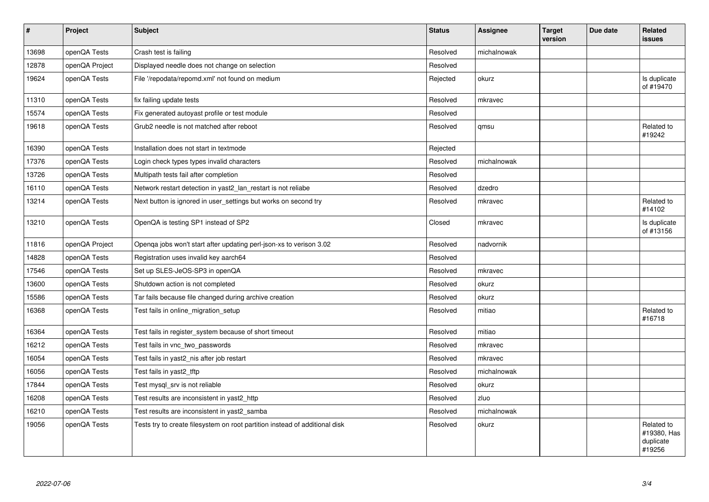| $\vert$ # | Project        | <b>Subject</b>                                                              | <b>Status</b> | <b>Assignee</b> | <b>Target</b><br>version | Due date | Related<br>issues                                |
|-----------|----------------|-----------------------------------------------------------------------------|---------------|-----------------|--------------------------|----------|--------------------------------------------------|
| 13698     | openQA Tests   | Crash test is failing                                                       | Resolved      | michalnowak     |                          |          |                                                  |
| 12878     | openQA Project | Displayed needle does not change on selection                               | Resolved      |                 |                          |          |                                                  |
| 19624     | openQA Tests   | File '/repodata/repomd.xml' not found on medium                             | Rejected      | okurz           |                          |          | Is duplicate<br>of #19470                        |
| 11310     | openQA Tests   | fix failing update tests                                                    | Resolved      | mkravec         |                          |          |                                                  |
| 15574     | openQA Tests   | Fix generated autoyast profile or test module                               | Resolved      |                 |                          |          |                                                  |
| 19618     | openQA Tests   | Grub2 needle is not matched after reboot                                    | Resolved      | qmsu            |                          |          | Related to<br>#19242                             |
| 16390     | openQA Tests   | Installation does not start in textmode                                     | Rejected      |                 |                          |          |                                                  |
| 17376     | openQA Tests   | Login check types types invalid characters                                  | Resolved      | michalnowak     |                          |          |                                                  |
| 13726     | openQA Tests   | Multipath tests fail after completion                                       | Resolved      |                 |                          |          |                                                  |
| 16110     | openQA Tests   | Network restart detection in yast2 lan restart is not reliabe               | Resolved      | dzedro          |                          |          |                                                  |
| 13214     | openQA Tests   | Next button is ignored in user_settings but works on second try             | Resolved      | mkravec         |                          |          | Related to<br>#14102                             |
| 13210     | openQA Tests   | OpenQA is testing SP1 instead of SP2                                        | Closed        | mkravec         |                          |          | Is duplicate<br>of #13156                        |
| 11816     | openQA Project | Openga jobs won't start after updating perl-json-xs to verison 3.02         | Resolved      | nadvornik       |                          |          |                                                  |
| 14828     | openQA Tests   | Registration uses invalid key aarch64                                       | Resolved      |                 |                          |          |                                                  |
| 17546     | openQA Tests   | Set up SLES-JeOS-SP3 in openQA                                              | Resolved      | mkravec         |                          |          |                                                  |
| 13600     | openQA Tests   | Shutdown action is not completed                                            | Resolved      | okurz           |                          |          |                                                  |
| 15586     | openQA Tests   | Tar fails because file changed during archive creation                      | Resolved      | okurz           |                          |          |                                                  |
| 16368     | openQA Tests   | Test fails in online_migration_setup                                        | Resolved      | mitiao          |                          |          | Related to<br>#16718                             |
| 16364     | openQA Tests   | Test fails in register system because of short timeout                      | Resolved      | mitiao          |                          |          |                                                  |
| 16212     | openQA Tests   | Test fails in vnc two passwords                                             | Resolved      | mkravec         |                          |          |                                                  |
| 16054     | openQA Tests   | Test fails in yast2 nis after job restart                                   | Resolved      | mkravec         |                          |          |                                                  |
| 16056     | openQA Tests   | Test fails in yast2 tftp                                                    | Resolved      | michalnowak     |                          |          |                                                  |
| 17844     | openQA Tests   | Test mysql_srv is not reliable                                              | Resolved      | okurz           |                          |          |                                                  |
| 16208     | openQA Tests   | Test results are inconsistent in yast2_http                                 | Resolved      | zluo            |                          |          |                                                  |
| 16210     | openQA Tests   | Test results are inconsistent in yast2 samba                                | Resolved      | michalnowak     |                          |          |                                                  |
| 19056     | openQA Tests   | Tests try to create filesystem on root partition instead of additional disk | Resolved      | okurz           |                          |          | Related to<br>#19380, Has<br>duplicate<br>#19256 |